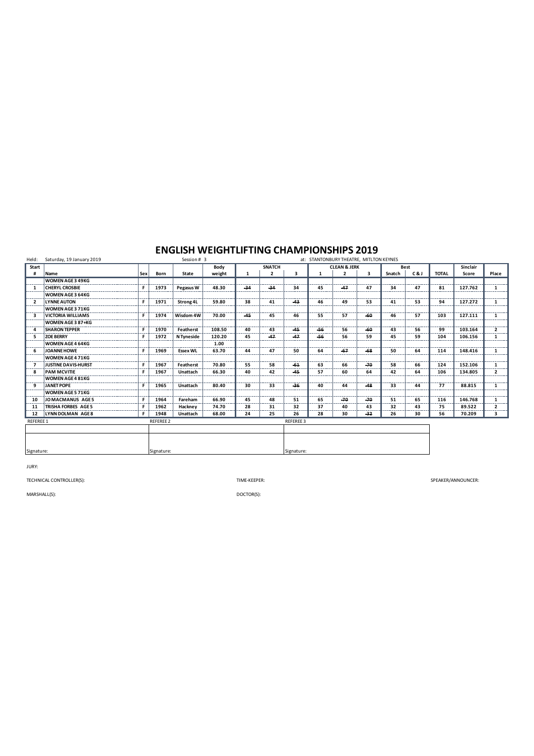| Held:                    | Saturday, 19 January 2019  |            |                  | Session # 3     |        |       |               | at: STANTONBURY THEATRE, MITLTON KEYNES |                         |                |       |             |     |              |          |                |  |
|--------------------------|----------------------------|------------|------------------|-----------------|--------|-------|---------------|-----------------------------------------|-------------------------|----------------|-------|-------------|-----|--------------|----------|----------------|--|
| Start                    |                            |            |                  |                 | Body   |       | <b>SNATCH</b> |                                         | <b>CLEAN &amp; JERK</b> |                |       | <b>Best</b> |     |              | Sinclair |                |  |
| #                        | Name                       | Sex        | Born             | State           | weight | 1     | 2             | 3                                       | 1                       | $\overline{2}$ | 3     | Snatch      | C&J | <b>TOTAL</b> | Score    | Place          |  |
|                          | <b>WOMEN AGE 3 49KG</b>    |            |                  |                 |        |       |               |                                         |                         |                |       |             |     |              |          |                |  |
| -1                       | <b>CHERYL CROSBIE</b>      | F          | 1973             | Pegasus W       | 48.30  | $-34$ | $-34$         | 34                                      | 45                      | $-47$          | 47    | 34          | 47  | 81           | 127.762  | 1              |  |
|                          | WOMEN AGE 3 64KG           |            |                  |                 |        |       |               |                                         |                         |                |       |             |     |              |          |                |  |
| $\overline{\phantom{a}}$ | <b>LYNNE AUTON</b>         | F          | 1971             | Strong 4L       | 59.80  | 38    | 41            | $-43$                                   | 46                      | 49             | 53    | 41          | 53  | 94           | 127.272  | 1              |  |
|                          | <b>WOMEN AGE 3 71KG</b>    |            |                  |                 |        |       |               |                                         |                         |                |       |             |     |              |          |                |  |
| ર                        | <b>VICTORIA WILLIAMS</b>   | F.         | 1974             | Wisdom 4W       | 70.00  | $-45$ | 45            | 46                                      | 55                      | 57             | -60   | 46          | 57  | 103          | 127.111  | 1              |  |
|                          | WOMEN AGE 3 87+KG          |            |                  |                 |        |       |               |                                         |                         |                |       |             |     |              |          |                |  |
| $\overline{a}$           | <b>SHARON TEPPER</b>       | F          | 1970             | Featherst       | 108.50 | 40    | 43            | $-45$                                   | -56                     | 56             | -60   | 43          | 56  | 99           | 103.164  | $\overline{2}$ |  |
| 5                        | <b>ZOE BERRY</b>           | F.         | 1972             | N Tyneside      | 120.20 | 45    | $-47$         | $-47$                                   | -56                     | 56             | 59    | 45          | 59  | 104          | 106.156  | $\mathbf{1}$   |  |
|                          | WOMEN AGE 4 64KG           |            |                  |                 | 1.00   |       |               |                                         |                         |                |       |             |     |              |          |                |  |
| -6                       | JOANNE HOWE                | F          | 1969             | <b>Essex WL</b> | 63.70  | 44    | 47            | 50                                      | 64                      | $-67$          | $-68$ | 50          | 64  | 114          | 148,416  | 1              |  |
|                          | WOMEN AGE 4 71KG           |            |                  |                 |        |       |               |                                         |                         |                |       |             |     |              |          |                |  |
| 7                        | <b>JUSTINE DAVIS-HURST</b> | F          | 1967             | Featherst       | 70.80  | 55    | 58            | $-61$                                   | 63                      | 66             | $-70$ | 58          | 66  | 124          | 152.106  | $\mathbf{1}$   |  |
| 8                        | <b>PAM MCVITIE</b>         | F          | 1967             | Unattach        | 66.30  | 40    | 42            | $-45$                                   | 57                      | 60             | 64    | 42          | 64  | 106          | 134.805  | $\mathbf{2}$   |  |
|                          | <b>WOMEN AGE 4 81KG</b>    |            |                  |                 |        |       |               |                                         |                         |                |       |             |     |              |          |                |  |
| 9                        | JANET POPE                 | F.         | 1965             | Unattach        | 80.40  | 30    | 33            | $-36$                                   | 40                      | 44             | $-48$ | 33          | 44  | 77           | 88.815   | 1              |  |
|                          | <b>WOMEN AGE 5 71KG</b>    |            |                  |                 |        |       |               |                                         |                         |                |       |             |     |              |          |                |  |
| 10                       | JOMACMANUS AGE5            | F          | 1964             | Fareham         | 66.90  | 45    | 48            | 51                                      | 65                      | $-70$          | $-70$ | 51          | 65  | 116          | 146.768  | 1              |  |
| 11                       | TRISHA FORBES AGE 5        | F.         | 1962             | Hackney         | 74.70  | 28    | 31            | 32                                      | 37                      | 40             | 43    | 32          | 43  | 75           | 89.522   | $\overline{2}$ |  |
| 12                       | LYNN DOLMAN AGE 8          | F.         | 1948             | Unattach        | 68.00  | 24    | 25            | 26                                      | 28                      | 30             | $-32$ | 26          | 30  | 56           | 70.209   | 3              |  |
| <b>REFEREE 1</b>         |                            |            | <b>REFEREE 2</b> |                 |        |       |               | REFEREE 3                               |                         |                |       |             |     |              |          |                |  |
|                          |                            |            |                  |                 |        |       |               |                                         |                         |                |       |             |     |              |          |                |  |
|                          |                            |            |                  |                 |        |       |               |                                         |                         |                |       |             |     |              |          |                |  |
|                          |                            |            |                  |                 |        |       |               |                                         |                         |                |       |             |     |              |          |                |  |
| Signature:               |                            | Signature: |                  |                 |        |       |               |                                         | Signature:              |                |       |             |     |              |          |                |  |

JURY:

TECHNICAL CONTROLLER(S): TIME-KEEPER:

SPEAKER/ANNOUNCER:

MARSHALL(S):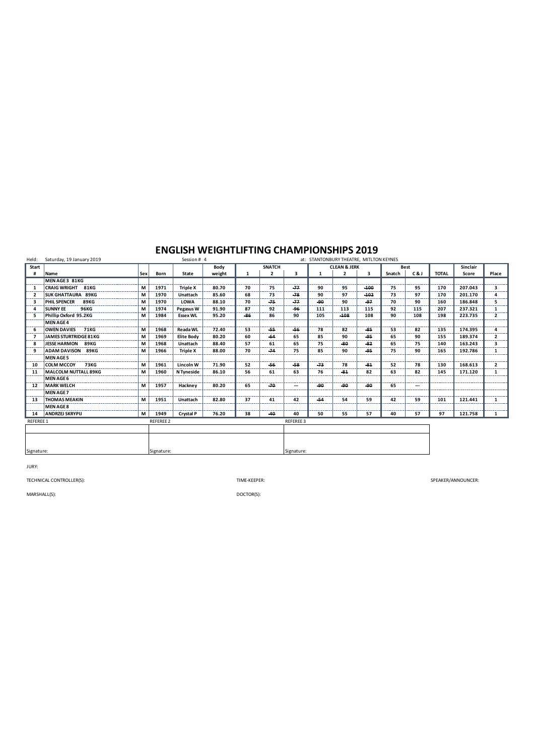| Held:            | Saturday, 19 January 2019    |            |                  | Session # 4       |        |              |                | at: STANTONBURY THEATRE, MITLTON KEYNES |            |                         |        |        |                          |              |          |                |  |
|------------------|------------------------------|------------|------------------|-------------------|--------|--------------|----------------|-----------------------------------------|------------|-------------------------|--------|--------|--------------------------|--------------|----------|----------------|--|
| Start            |                              |            |                  |                   | Body   |              | <b>SNATCH</b>  |                                         |            | <b>CLEAN &amp; JERK</b> |        | Best   |                          |              | Sinclair |                |  |
|                  | Name                         | <b>Sex</b> | Born             | State             | weight | $\mathbf{1}$ | $\overline{2}$ | 3                                       |            | $\overline{2}$          | 3      | Snatch | C&J                      | <b>TOTAL</b> | Score    | Place          |  |
|                  | MEN AGE 3 81KG               |            |                  |                   |        |              |                |                                         |            |                         |        |        |                          |              |          |                |  |
| $\mathbf{1}$     | <b>CRAIG WRIGHT 81KG</b>     | м          | 1971             | <b>Triple X</b>   | 80.70  | 70           | 75             | $-77$                                   | 90         | 95                      | $-100$ | 75     | 95                       | 170          | 207.043  | 3              |  |
|                  | <b>SUK GHATTAURA 89KG</b>    | М          | 1970             | Unattach          | 85.60  | 68           | 73             | $-78$                                   | 90         | 97                      | $-102$ | 73     | 97                       | 170          | 201.170  | 4              |  |
| з                | <b>PHIL SPENCER</b><br>89KG  | М          | 1970             | LOWA              | 88.10  | 70           | $-75$          | $-77$                                   | -90        | 90                      | $-97$  | 70     | 90                       | 160          | 186.848  | 5.             |  |
| $\Delta$         | <b>SUNNY EE</b><br>96KG      | м          | 1974             | Pegasus W         | 91.90  | 87           | 92             | $-96$                                   | 111        | 113                     | 115    | 92     | 115                      | 207          | 237.321  | 1              |  |
| 5                | Phillip Oxford 95.2KG        | М          | 1984             | <b>Essex WL</b>   | 95.20  | $-86$        | 86             | 90                                      | 105        | $-108$                  | 108    | 90     | 108                      | 198          | 223.735  | $\overline{2}$ |  |
|                  | <b>MEN AGE 4</b>             |            |                  |                   |        |              |                |                                         |            |                         |        |        |                          |              |          |                |  |
| -6               | OWEN DAVIES 71KG             | м          | 1968             | <b>Reada WL</b>   | 72.40  | 53           | $-55$          | $-56$                                   | 78         | 82                      | $-85$  | 53     | 82                       | 135          | 174.395  | 4              |  |
|                  | <b>JAMES STURTRIDGE 81KG</b> | М          | 1969             | <b>Elite Body</b> | 80.20  | 60           | -64            | 65                                      | 85         | 90                      | -95    | 65     | 90                       | 155          | 189.374  | $\overline{2}$ |  |
| -8               | JESSE HARMON 89KG            | M          | 1968             | Unattach          | 88.40  | 57           | 61             | 65                                      | 75         | -80                     | $-82$  | 65     | 75                       | 140          | 163.243  | 3              |  |
| 9                | <b>ADAM DAVISON 89KG</b>     | м          | 1966             | <b>Triple X</b>   | 88.00  | 70           | $-74$          | 75                                      | 85         | 90                      | $-95$  | 75     | 90                       | 165          | 192.786  | 1              |  |
|                  | <b>MEN AGE 5</b>             |            |                  |                   |        |              |                |                                         |            |                         |        |        |                          |              |          |                |  |
| 10               | COLM MCCOY 73KG              | м          | 1961             | Lincoln W         | 71.90  | 52           | -56            | $-58$                                   | $-73$      | 78                      | $-81$  | 52     | 78                       | 130          | 168.613  | $\overline{2}$ |  |
| 11               | MALCOLM NUTTALL 89KG         | м          | 1960             | N Tyneside        | 86.10  | 56           | 61             | 63                                      | 76         | $-84$                   | 82     | 63     | 82                       | 145          | 171.120  | 1              |  |
|                  | <b>MEN AGE 6</b>             |            |                  |                   |        |              |                |                                         |            |                         |        |        |                          |              |          |                |  |
| 12               | <b>MARK WELCH</b>            | М          | 1957             | Hackney           | 80.20  | 65           | $-70$          | ---                                     | -90        | -90                     | -90    | 65     | $\hspace{0.05cm} \cdots$ |              |          |                |  |
|                  | MEN AGE 7                    |            |                  |                   |        |              |                |                                         |            |                         |        |        |                          |              |          |                |  |
| 13               | <b>THOMAS MEAKIN</b>         | м          | 1951             | Unattach          | 82.80  | 37           | 41             | 42                                      | $-54$      | 54                      | 59     | 42     | 59                       | 101          | 121.441  | 1              |  |
|                  | MEN AGE 8                    |            |                  |                   |        |              |                |                                         |            |                         |        |        |                          |              |          |                |  |
|                  | 14 ANDRZEJ SKRYPIJ           | м          | 1949             | Crystal P         | 76.20  | 38           | $-40$          | 40                                      | 50         | 55                      | 57     | 40     | 57                       | 97           | 121.758  | 1              |  |
| <b>REFEREE 1</b> |                              |            | <b>REFEREE 2</b> |                   |        |              |                | REFEREE 3                               |            |                         |        |        |                          |              |          |                |  |
|                  |                              |            |                  |                   |        |              |                |                                         |            |                         |        |        |                          |              |          |                |  |
|                  |                              |            |                  |                   |        |              |                |                                         |            |                         |        |        |                          |              |          |                |  |
|                  |                              |            |                  |                   |        |              |                |                                         |            |                         |        |        |                          |              |          |                |  |
| Signature:       |                              | Signature: |                  |                   |        |              |                |                                         | Signature: |                         |        |        |                          |              |          |                |  |

JURY:

TECHNICAL CONTROLLER(S): TIME-KEEPER:

SPEAKER/ANNOUNCER:

MARSHALL(S):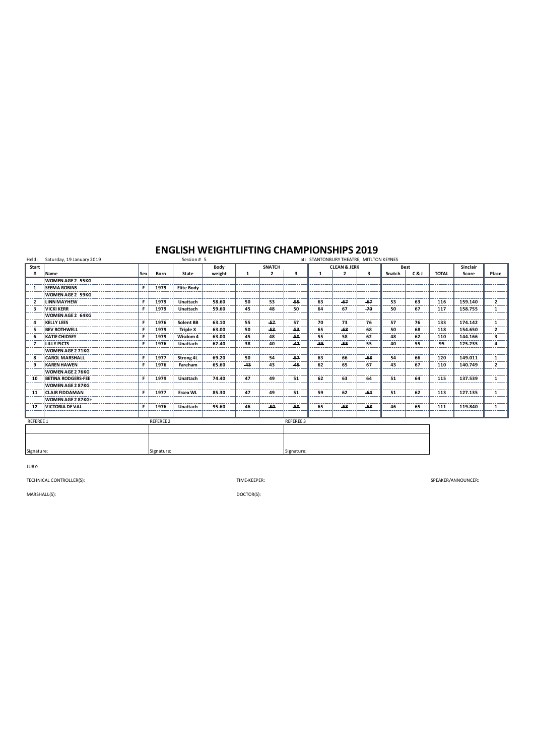| Held:            | Saturday, 19 January 2019 | Session # 5<br>at: STANTONBURY THEATRE, MITLTON KEYNES |           |                   |        |       |                |           |       |                         |       |        |             |              |          |                |
|------------------|---------------------------|--------------------------------------------------------|-----------|-------------------|--------|-------|----------------|-----------|-------|-------------------------|-------|--------|-------------|--------------|----------|----------------|
| Start            |                           |                                                        |           |                   | Body   |       | <b>SNATCH</b>  |           |       | <b>CLEAN &amp; JERK</b> |       |        | <b>Best</b> |              | Sinclair |                |
| #                | Name                      | Sex                                                    | Born      | State             | weight | 1     | $\overline{2}$ | 3         | 1     | $\overline{2}$          | 3     | Snatch | C&J         | <b>TOTAL</b> | Score    | Place          |
|                  | <b>WOMEN AGE 2 55KG</b>   |                                                        |           |                   |        |       |                |           |       |                         |       |        |             |              |          |                |
| -1               | <b>SEEMA ROBINS</b>       | F                                                      | 1979      | <b>Elite Body</b> |        |       |                |           |       |                         |       |        |             |              |          |                |
|                  | <b>WOMEN AGE 2 59KG</b>   |                                                        |           |                   |        |       |                |           |       |                         |       |        |             |              |          |                |
| ,                | <b>LINN MAYHEW</b>        | F                                                      | 1979      | Unattach          | 58.60  | 50    | 53             | -55       | 63    | -67                     | -67   | 53     | 63          | 116          | 159.140  | $\overline{2}$ |
| 3                | <b>VICKI KERR</b>         | F                                                      | 1979      | Unattach          | 59.60  | 45    | 48             | 50        | 64    | 67                      | $-70$ | 50     | 67          | 117          | 158.755  | $\mathbf{1}$   |
|                  | <b>WOMEN AGE 2 64KG</b>   |                                                        |           |                   |        |       |                |           |       |                         |       |        |             |              |          |                |
| Δ                | <b>KELLY LEES</b>         | F                                                      | 1976      | Solent BB         | 63.10  | 55    | $-57$          | 57        | 70    | 73                      | 76    | 57     | 76          | 133          | 174.142  | 1              |
| 5                | <b>BEV ROTHWELL</b>       | F                                                      | 1979      | <b>Triple X</b>   | 63.00  | 50    | $-53$          | $-53$     | 65    | $-68$                   | 68    | 50     | 68          | 118          | 154.650  | $\overline{2}$ |
| 6                | <b>KATIE CHIDSEY</b>      | F                                                      | 1979      | Wisdom 4          | 63.00  | 45    | 48             | $-50$     | 55    | 58                      | 62    | 48     | 62          | 110          | 144.166  | 3              |
| $\mathbf{z}$     | <b>LILLY PICTS</b>        | F                                                      | 1976      | Unattach          | 62.40  | 38    | 40             | $-42$     | $-55$ | -55                     | 55    | 40     | 55          | 95           | 125.235  | 4              |
|                  | WOMEN AGE 2 71KG          |                                                        |           |                   |        |       |                |           |       |                         |       |        |             |              |          |                |
| 8                | <b>CAROL MARSHALL</b>     | F                                                      | 1977      | Strong 4L         | 69.20  | 50    | 54             | $-57$     | 63    | 66                      | $-68$ | 54     | 66          | 120          | 149.011  | 1              |
| 9                | <b>KAREN HAWEN</b>        | F                                                      | 1976      | Fareham           | 65.60  | $-43$ | 43             | $-45$     | 62    | 65                      | 67    | 43     | 67          | 110          | 140.749  | $\overline{2}$ |
|                  | WOMEN AGE 2 76KG          |                                                        |           |                   |        |       |                |           |       |                         |       |        |             |              |          |                |
| 10               | <b>BETINA RODGERS-FEE</b> | F                                                      | 1979      | Unattach          | 74.40  | 47    | 49             | 51        | 62    | 63                      | 64    | 51     | 64          | 115          | 137.539  | 1              |
|                  | <b>WOMEN AGE 2 87KG</b>   |                                                        |           |                   |        |       |                |           |       |                         |       |        |             |              |          |                |
| 11               | <b>CLAIR FIDDAMAN</b>     | F                                                      | 1977      | <b>Essex WL</b>   | 85.30  | 47    | 49             | 51        | 59    | 62                      | $-64$ | 51     | 62          | 113          | 127.135  | 1              |
|                  | WOMEN AGE 2 87KG+         |                                                        |           |                   |        |       |                |           |       |                         |       |        |             |              |          |                |
| 12               | <b>VICTORIA DE VAL</b>    | F                                                      | 1976      | Unattach          | 95.60  | 46    | $-50$          | $-50$     | 65    | $-68$                   | $-68$ | 46     | 65          | 111          | 119.840  | 1              |
|                  |                           |                                                        |           |                   |        |       |                |           |       |                         |       |        |             |              |          |                |
| <b>REFEREE 1</b> |                           |                                                        | REFEREE 2 |                   |        |       |                | REFEREE 3 |       |                         |       |        |             |              |          |                |
|                  |                           |                                                        |           |                   |        |       |                |           |       |                         |       |        |             |              |          |                |
|                  |                           |                                                        |           |                   |        |       |                |           |       |                         |       |        |             |              |          |                |
|                  |                           |                                                        |           |                   |        |       |                |           |       |                         |       |        |             |              |          |                |
| Signature:       |                           | Signature:<br>Signature:                               |           |                   |        |       |                |           |       |                         |       |        |             |              |          |                |

JURY:

TECHNICAL CONTROLLER(S): TIME-KEEPER:

SPEAKER/ANNOUNCER:

MARSHALL(S):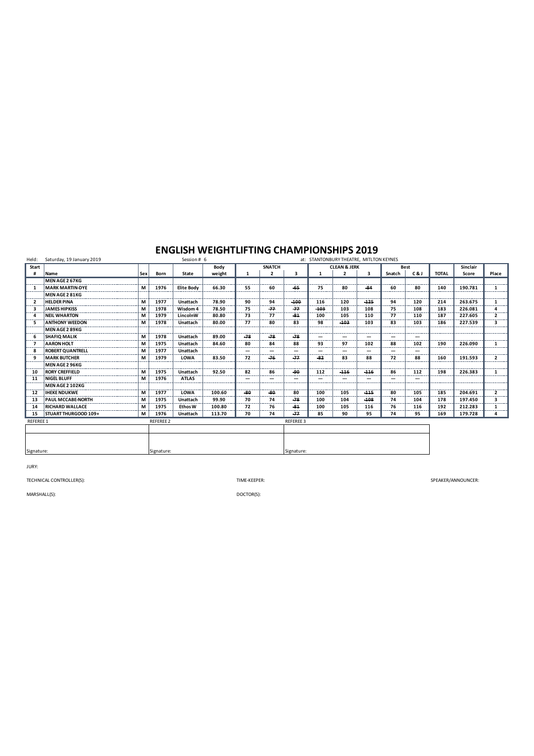| Held:                    | Saturday, 19 January 2019 |            |                  | Session # 6       |        |       |                          | at: STANTONBURY THEATRE, MITLTON KEYNES |              |                         |        |        |             |              |          |                |  |  |
|--------------------------|---------------------------|------------|------------------|-------------------|--------|-------|--------------------------|-----------------------------------------|--------------|-------------------------|--------|--------|-------------|--------------|----------|----------------|--|--|
| Start                    |                           |            |                  |                   | Body   |       | <b>SNATCH</b>            |                                         |              | <b>CLEAN &amp; JERK</b> |        |        | <b>Best</b> |              | Sinclair |                |  |  |
|                          | Name                      | <b>Sex</b> | Born             | State             | weight | 1     | $\overline{2}$           | 3                                       | $\mathbf{1}$ | $\overline{2}$          | 3      | Snatch | C&J         | <b>TOTAL</b> | Score    | Place          |  |  |
|                          | MEN AGE 2 67KG            |            |                  |                   |        |       |                          |                                         |              |                         |        |        |             |              |          |                |  |  |
| 1                        | <b>MARK MARTIN-DYE</b>    | М          | 1976             | <b>Elite Body</b> | 66.30  | 55    | 60                       | $-65$                                   | 75           | 80                      | $-84$  | 60     | 80          | 140          | 190.781  | 1              |  |  |
|                          | MEN AGE 2 81KG            |            |                  |                   |        |       |                          |                                         |              |                         |        |        |             |              |          |                |  |  |
| $\overline{\phantom{a}}$ | <b>HELDER PINA</b>        | M          | 1977             | Unattach          | 78.90  | 90    | 94                       | $-100$                                  | 116          | 120                     | $-125$ | 94     | 120         | 214          | 263.675  | 1              |  |  |
| 3                        | <b>JAMES HIPKISS</b>      | M          | 1978             | Wisdom 4          | 78.50  | 75    | $-77$                    | $-77$                                   | $-103$       | 103                     | 108    | 75     | 108         | 183          | 226.081  | 4              |  |  |
| $\overline{\bf{4}}$      | <b>NEIL WHARTON</b>       | M          | 1979             | LincolnW          | 80.80  | 73    | 77                       | $-81$                                   | 100          | 105                     | 110    | 77     | 110         | 187          | 227.605  | $\overline{2}$ |  |  |
| 5                        | <b>ANTHONY WEEDON</b>     | М          | 1978             | Unattach          | 80.00  | 77    | 80                       | 83                                      | 98           | $-103$                  | 103    | 83     | 103         | 186          | 227.539  | 3              |  |  |
|                          | <b>MEN AGE 2 89KG</b>     |            |                  |                   |        |       |                          |                                         |              |                         |        |        |             |              |          |                |  |  |
| -6                       | <b>SHAFIO MALIK</b>       | М          | 1978             | Unattach          | 89.00  | $-78$ | $-78$                    | $-78$                                   | ---          | ---                     | ---    | ---    | ---         |              |          |                |  |  |
| -7                       | <b>AARON HOLT</b>         | М          | 1975             | Unattach          | 84.60  | 80    | 84                       | 88                                      | 93           | 97                      | 102    | 88     | 102         | 190          | 226.090  | $\mathbf{1}$   |  |  |
| 8                        | <b>ROBERT QUANTRELL</b>   | M          | 1977             | Unattach          |        | --    | --                       | ---                                     | ---          | ---                     | ---    | ---    | ---         |              |          |                |  |  |
| 9                        | <b>MARK BUTCHER</b>       | M          | 1979             | LOWA              | 83.50  | 72    | $-76$                    | $-77$                                   | $-82$        | 83                      | 88     | 72     | 88          | 160          | 191.593  | $\overline{2}$ |  |  |
|                          | <b>MEN AGE 2 96KG</b>     |            |                  |                   |        |       |                          |                                         |              |                         |        |        |             |              |          |                |  |  |
| 10                       | <b>RORY CREFFIELD</b>     | М          | 1975             | Unattach          | 92.50  | 82    | 86                       | $-90$                                   | 112          | $-116$                  | $-116$ | 86     | 112         | 198          | 226.383  | 1              |  |  |
| 11                       | <b>NIGEL BLUFF</b>        | М          | 1976             | <b>ATLAS</b>      |        | ---   | $\hspace{0.05cm} \cdots$ | ---                                     | ---          | ---                     | ---    | ---    | ---         |              |          |                |  |  |
|                          | MEN AGE 2 102KG           |            |                  |                   |        |       |                          |                                         |              |                         |        |        |             |              |          |                |  |  |
| 12                       | <b>IHEKE NDUKWE</b>       | M          | 1977             | LOWA              | 100.60 | $-80$ | $-80$                    | 80                                      | 100          | 105                     | $-115$ | 80     | 105         | 185          | 204.691  | $\overline{2}$ |  |  |
| 13                       | <b>PAUL MCCABE-NORTH</b>  | M          | 1975             | Unattach          | 99.90  | 70    | 74                       | $-78$                                   | 100          | 104                     | $-108$ | 74     | 104         | 178          | 197.450  | 3              |  |  |
| 14                       | <b>RICHARD WALLACE</b>    | M          | 1975             | <b>Ethos W</b>    | 100.80 | 72    | 76                       | $-81$                                   | 100          | 105                     | 116    | 76     | 116         | 192          | 212.283  | 1              |  |  |
| 15                       | STUART THURGOOD 109+      | М          | 1976             | Unattach          | 113.70 | 70    | 74                       | $-77$                                   | 85           | 90                      | 95     | 74     | 95          | 169          | 179.728  | 4              |  |  |
| <b>REFEREE 1</b>         |                           |            | <b>REFEREE 2</b> |                   |        |       |                          | <b>REFEREE 3</b>                        |              |                         |        |        |             |              |          |                |  |  |
|                          |                           |            |                  |                   |        |       |                          |                                         |              |                         |        |        |             |              |          |                |  |  |
|                          |                           |            |                  |                   |        |       |                          |                                         |              |                         |        |        |             |              |          |                |  |  |
|                          |                           |            |                  |                   |        |       |                          |                                         |              |                         |        |        |             |              |          |                |  |  |
| Signature:               |                           | Signature: |                  |                   |        |       |                          | Signature:                              |              |                         |        |        |             |              |          |                |  |  |

JURY:

TECHNICAL CONTROLLER(S): TIME-KEEPER:

SPEAKER/ANNOUNCER:

MARSHALL(S):

DOCTOR(S):

Signature: Signature: Signature: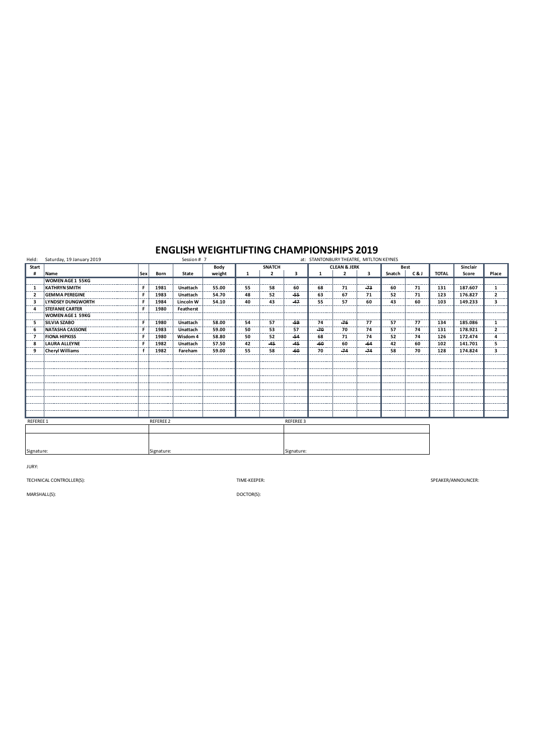| Held:          | Saturday, 19 January 2019 | Session # 7<br>at: STANTONBURY THEATRE, MITLTON KEYNES |                  |           |        |    |                         |            |       |                         |       |        |     |              |          |                |
|----------------|---------------------------|--------------------------------------------------------|------------------|-----------|--------|----|-------------------------|------------|-------|-------------------------|-------|--------|-----|--------------|----------|----------------|
| Start          |                           |                                                        |                  |           | Body   |    | <b>SNATCH</b>           |            |       | <b>CLEAN &amp; JERK</b> |       | Best   |     |              | Sinclair |                |
| #              | Name                      | Sex                                                    | Born             | State     | weight | 1  | $\overline{\mathbf{2}}$ | 3          |       | $\overline{2}$          | 3     | Snatch | C&J | <b>TOTAL</b> | Score    | Place          |
|                | <b>WOMEN AGE 1 55KG</b>   |                                                        |                  |           |        |    |                         |            |       |                         |       |        |     |              |          |                |
| 1              | <b>KATHRYN SMITH</b>      | F                                                      | 1981             | Unattach  | 55.00  | 55 | 58                      | 60         | 68    | 71                      | $-73$ | 60     | 71  | 131          | 187.607  | 1              |
| $\overline{2}$ | <b>GEMMA PEREGINE</b>     | F                                                      | 1983             | Unattach  | 54.70  | 48 | 52                      | $-55$      | 63    | 67                      | 71    | 52     | 71  | 123          | 176.827  | $\mathbf{2}$   |
| 3              | <b>LYNDSEY DUNGWORTH</b>  | F                                                      | 1984             | Lincoln W | 54.10  | 40 | 43                      | -47        | 55    | 57                      | 60    | 43     | 60  | 103          | 149.233  | 3              |
| Δ              | <b>STEFANIE CARTER</b>    | F                                                      | 1980             | Featherst |        |    |                         |            |       |                         |       |        |     |              |          |                |
|                | <b>WOMEN AGE 1 59KG</b>   |                                                        |                  |           |        |    |                         |            |       |                         |       |        |     |              |          |                |
| 5              | <b>SILVIA SZABO</b>       | F                                                      | 1980             | Unattach  | 58.00  | 54 | 57                      | $-59$      | 74    | $-76$                   | 77    | 57     | 77  | 134          | 185.086  | 1              |
| 6              | NATASHA CASSONE           | F                                                      | 1983             | Unattach  | 59.00  | 50 | 53                      | 57         | $-70$ | 70                      | 74    | 57     | 74  | 131          | 178.921  | $\overline{2}$ |
| $\overline{7}$ | <b>FIONA HIPKISS</b>      | F                                                      | 1980             | Wisdom 4  | 58.80  | 50 | 52                      | $-54$      | 68    | 71                      | 74    | 52     | 74  | 126          | 172.474  | 4              |
| 8              | <b>LAURA ALLEYNE</b>      | F                                                      | 1982             | Unattach  | 57.50  | 42 | $-45$                   | $-45$      | -60   | 60                      | $-64$ | 42     | 60  | 102          | 141.701  | 5              |
| 9              | <b>Cheryl Williams</b>    | f                                                      | 1982             | Fareham   | 59.00  | 55 | 58                      | $-60$      | 70    | $-74$                   | $-74$ | 58     | 70  | 128          | 174.824  | 3              |
|                |                           |                                                        |                  |           |        |    |                         |            |       |                         |       |        |     |              |          |                |
|                |                           |                                                        |                  |           |        |    |                         |            |       |                         |       |        |     |              |          |                |
|                |                           |                                                        |                  |           |        |    |                         |            |       |                         |       |        |     |              |          |                |
|                |                           |                                                        |                  |           |        |    |                         |            |       |                         |       |        |     |              |          |                |
|                |                           |                                                        |                  |           |        |    |                         |            |       |                         |       |        |     |              |          |                |
|                |                           |                                                        |                  |           |        |    |                         |            |       |                         |       |        |     |              |          |                |
|                |                           |                                                        |                  |           |        |    |                         |            |       |                         |       |        |     |              |          |                |
|                |                           |                                                        |                  |           |        |    |                         |            |       |                         |       |        |     |              |          |                |
|                |                           |                                                        |                  |           |        |    |                         |            |       |                         |       |        |     |              |          |                |
| REFEREE 1      |                           |                                                        | <b>REFEREE 2</b> |           |        |    |                         | REFEREE 3  |       |                         |       |        |     |              |          |                |
|                |                           |                                                        |                  |           |        |    |                         |            |       |                         |       |        |     |              |          |                |
|                |                           |                                                        |                  |           |        |    |                         |            |       |                         |       |        |     |              |          |                |
|                |                           |                                                        |                  |           |        |    |                         |            |       |                         |       |        |     |              |          |                |
| Signature:     |                           | Signature:                                             |                  |           |        |    |                         | Signature: |       |                         |       |        |     |              |          |                |

JURY:

TECHNICAL CONTROLLER(S): TIME-KEEPER:

SPEAKER/ANNOUNCER:

MARSHALL(S):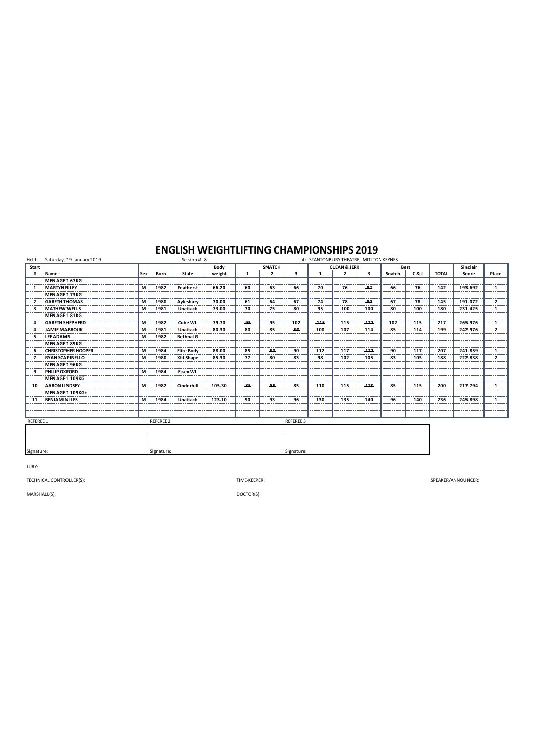| Held:                    | Saturday, 19 January 2019 |     |                  | Session # 8       |        |       |                | at: STANTONBURY THEATRE, MITLTON KEYNES |                          |                         |        |             |                          |              |          |                |  |  |
|--------------------------|---------------------------|-----|------------------|-------------------|--------|-------|----------------|-----------------------------------------|--------------------------|-------------------------|--------|-------------|--------------------------|--------------|----------|----------------|--|--|
| Start                    |                           |     |                  |                   | Body   |       | <b>SNATCH</b>  |                                         |                          | <b>CLEAN &amp; JERK</b> |        | <b>Best</b> |                          |              | Sinclair |                |  |  |
| #                        | Name                      | Sex | Born             | State             | weight | 1     | $\overline{2}$ | 3                                       | 1                        | $\overline{2}$          | 3      | Snatch      | C&J                      | <b>TOTAL</b> | Score    | Place          |  |  |
|                          | MEN AGE 1 67KG            |     |                  |                   |        |       |                |                                         |                          |                         |        |             |                          |              |          |                |  |  |
| $\mathbf{1}$             | <b>MARTYN RILEY</b>       | М   | 1982             | Featherst         | 66.20  | 60    | 63             | 66                                      | 70                       | 76                      | $-82$  | 66          | 76                       | 142          | 193.692  | 1              |  |  |
|                          | MEN AGE 173KG             |     |                  |                   |        |       |                |                                         |                          |                         |        |             |                          |              |          |                |  |  |
| $\overline{\phantom{a}}$ | <b>GARETH THOMAS</b>      | м   | 1980             | Aylesbury         | 70.00  | 61    | 64             | 67                                      | 74                       | 78                      | -80    | 67          | 78                       | 145          | 191.072  | $\overline{2}$ |  |  |
| з                        | <b>MATHEW WELLS</b>       | M   | 1981             | Unattach          | 73.00  | 70    | 75             | 80                                      | 95                       | $-100$                  | 100    | 80          | 100                      | 180          | 231.425  | 1              |  |  |
|                          | MEN AGE 1 81KG            |     |                  |                   |        |       |                |                                         |                          |                         |        |             |                          |              |          |                |  |  |
| Δ                        | <b>GARETH SHEPHERD</b>    | M   | 1982             | Cube WL           | 79.70  | $-95$ | 95             | 102                                     | $-115$                   | 115                     | $-127$ | 102         | 115                      | 217          | 265.976  | 1              |  |  |
|                          | <b>JAMIE MABROUK</b>      | M   | 1981             | Unattach          | 80.30  | 80    | 85             | -90                                     | 100                      | 107                     | 114    | 85          | 114                      | 199          | 242.976  | $\overline{2}$ |  |  |
| 5                        | <b>LEE ADAMS</b>          | м   | 1982             | <b>Bethnal G</b>  |        | --    | ---            | $\hspace{0.05cm} \ldots$                | $\overline{\phantom{a}}$ | ---                     | ---    | ---         | $\hspace{0.05cm} \ldots$ |              |          |                |  |  |
|                          | MEN AGE 1 89KG            |     |                  |                   |        |       |                |                                         |                          |                         |        |             |                          |              |          |                |  |  |
|                          | <b>CHRISTOPHER HOOPER</b> | M   | 1984             | <b>Elite Body</b> | 88.00  | 85    | -90            | 90                                      | 112                      | 117                     | $-122$ | 90          | 117                      | 207          | 241.859  | 1              |  |  |
| 7                        | <b>RYAN SCAPINELLO</b>    | M   | 1980             | <b>Xfit Shape</b> | 85.30  | 77    | 80             | 83                                      | 98                       | 102                     | 105    | 83          | 105                      | 188          | 222.838  | $\overline{2}$ |  |  |
|                          | MEN AGE 1 96KG            |     |                  |                   |        |       |                |                                         |                          |                         |        |             |                          |              |          |                |  |  |
| 9                        | <b>PHILIP OXFORD</b>      | M   | 1984             | <b>Essex WL</b>   |        | --    | ---            | $\hspace{0.05cm} \ldots$                | ---                      | ---                     | ---    | ---         | ---                      |              |          |                |  |  |
|                          | MEN AGE 1 109KG           |     |                  |                   |        |       |                |                                         |                          |                         |        |             |                          |              |          |                |  |  |
| 10                       | <b>AARON LINDSEY</b>      | M   | 1982             | Cinderhill        | 105.30 | $-85$ | $-85$          | 85                                      | 110                      | 115                     | $-120$ | 85          | 115                      | 200          | 217.794  | 1              |  |  |
|                          | MEN AGE 1 109KG+          |     |                  |                   |        |       |                |                                         |                          |                         |        |             |                          |              |          |                |  |  |
| 11                       | <b>BENJAMIN ILES</b>      | M   | 1984             | Unattach          | 123.10 | 90    | 93             | 96                                      | 130                      | 135                     | 140    | 96          | 140                      | 236          | 245.898  | 1              |  |  |
|                          |                           |     |                  |                   |        |       |                |                                         |                          |                         |        |             |                          |              |          |                |  |  |
|                          |                           |     |                  |                   |        |       |                |                                         |                          |                         |        |             |                          |              |          |                |  |  |
| REFEREE 1                |                           |     | <b>REFEREE 2</b> |                   |        |       |                | REFEREE 3                               |                          |                         |        |             |                          |              |          |                |  |  |
|                          |                           |     |                  |                   |        |       |                |                                         |                          |                         |        |             |                          |              |          |                |  |  |
|                          |                           |     |                  |                   |        |       |                |                                         |                          |                         |        |             |                          |              |          |                |  |  |
|                          |                           |     |                  |                   |        |       |                |                                         |                          |                         |        |             |                          |              |          |                |  |  |
| Signature:<br>Signature: |                           |     |                  |                   |        |       | Signature:     |                                         |                          |                         |        |             |                          |              |          |                |  |  |

JURY:

TECHNICAL CONTROLLER(S): TIME-KEEPER:

SPEAKER/ANNOUNCER:

MARSHALL(S):